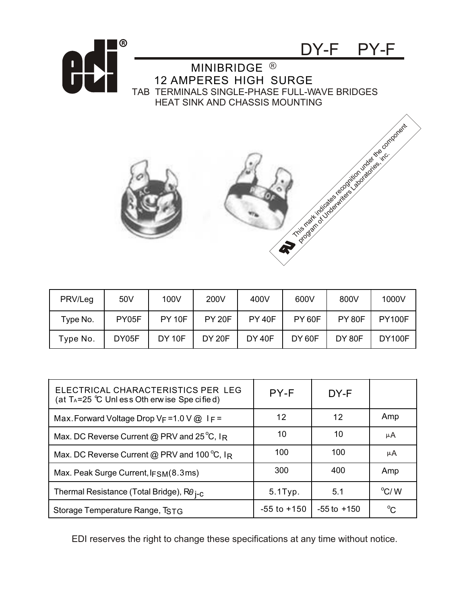



| PRV/Leg  | 50V   | 100V          | 200V          | 400V          | 600V          | 800V          | 1000V         |
|----------|-------|---------------|---------------|---------------|---------------|---------------|---------------|
| Type No. | PY05F | <b>PY 10F</b> | <b>PY 20F</b> | <b>PY 40F</b> | <b>PY 60F</b> | <b>PY 80F</b> | <b>PY100F</b> |
| Type No. | DY05F | <b>DY 10F</b> | <b>DY 20F</b> | <b>DY 40F</b> | <b>DY 60F</b> | <b>DY 80F</b> | <b>DY100F</b> |

| ELECTRICAL CHARACTERISTICS PER LEG<br>(at T <sub>A</sub> =25 $\degree$ C Unl ess Oth erw ise Spe cified) | PY-F            | DY-F            |               |
|----------------------------------------------------------------------------------------------------------|-----------------|-----------------|---------------|
| Max. Forward Voltage Drop $V_F = 1.0 V @ \Gamma_F =$                                                     | 12              | 12              | Amp           |
| Max. DC Reverse Current @ PRV and 25 $^{\circ}$ C, IR                                                    | 10              | 10              | μA            |
| Max. DC Reverse Current @ PRV and 100 °C, IR                                                             | 100             | 100             | μA            |
| Max. Peak Surge Current, $IFSM(8.3ms)$                                                                   | 300             | 400             | Amp           |
| Thermal Resistance (Total Bridge), R0 j-c                                                                | 5.1Typ.         | 5.1             | $\rm ^{o}C/M$ |
| Storage Temperature Range, TSTG                                                                          | $-55$ to $+150$ | $-55$ to $+150$ | $^{\circ}C$   |

EDI reserves the right to change these specifications at any time without notice.